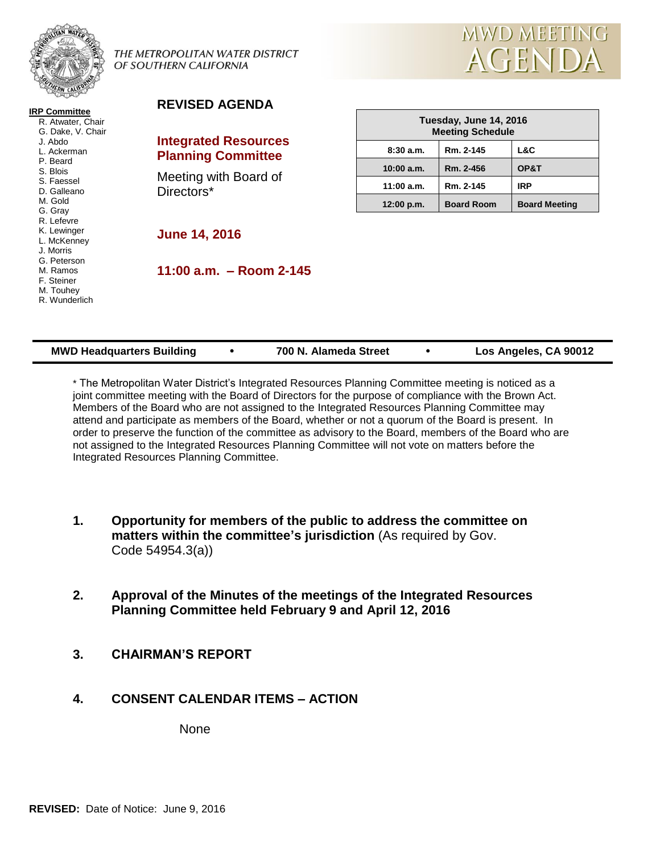

**IRP Committee** R. Atwater, Chair G. Dake, V. Chair J. Abdo L. Ackerman P. Beard S. Blois S. Faessel D. Galleano M. Gold G. Gray R. Lefevre K. Lewinger L. McKenney J. Morris G. Peterson M. Ramos F. Steiner M. Touhey R. Wunderlich

THE METROPOLITAN WATER DISTRICT OF SOUTHERN CALIFORNIA



#### **REVISED AGENDA**

#### **Integrated Resources Planning Committee**

Meeting with Board of Directors\*

| Tuesday, June 14, 2016<br><b>Meeting Schedule</b> |                   |                      |  |  |
|---------------------------------------------------|-------------------|----------------------|--|--|
| 8:30a.m.                                          | Rm. 2-145         | L&C                  |  |  |
| 10:00 a.m.                                        | Rm. 2-456         | OP&T                 |  |  |
| 11:00 a.m.                                        | Rm. 2-145         | <b>IRP</b>           |  |  |
| 12:00 p.m.                                        | <b>Board Room</b> | <b>Board Meeting</b> |  |  |

#### **June 14, 2016**

**11:00 a.m. – Room 2-145**

| <b>MWD Headquarters Building</b> |  | 700 N. Alameda Street |  | Los Angeles, CA 90012 |
|----------------------------------|--|-----------------------|--|-----------------------|
|----------------------------------|--|-----------------------|--|-----------------------|

\* The Metropolitan Water District's Integrated Resources Planning Committee meeting is noticed as a joint committee meeting with the Board of Directors for the purpose of compliance with the Brown Act. Members of the Board who are not assigned to the Integrated Resources Planning Committee may attend and participate as members of the Board, whether or not a quorum of the Board is present. In order to preserve the function of the committee as advisory to the Board, members of the Board who are not assigned to the Integrated Resources Planning Committee will not vote on matters before the Integrated Resources Planning Committee.

- **1. Opportunity for members of the public to address the committee on matters within the committee's jurisdiction** (As required by Gov. Code 54954.3(a))
- **2. Approval of the Minutes of the meetings of the Integrated Resources Planning Committee held February 9 and April 12, 2016**
- **3. CHAIRMAN'S REPORT**

## **4. CONSENT CALENDAR ITEMS – ACTION**

None